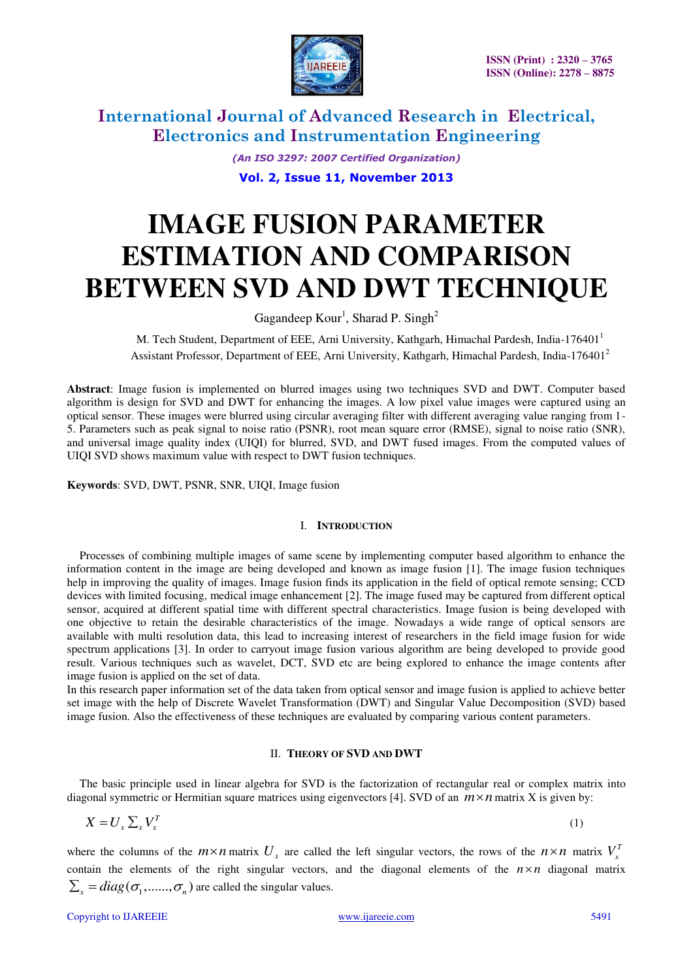

*(An ISO 3297: 2007 Certified Organization)* 

**Vol. 2, Issue 11, November 2013**

# **IMAGE FUSION PARAMETER ESTIMATION AND COMPARISON BETWEEN SVD AND DWT TECHNIQUE**

Gagandeep  $Kour<sup>1</sup>$ , Sharad P. Singh<sup>2</sup>

M. Tech Student, Department of EEE, Arni University, Kathgarh, Himachal Pardesh, India-176401<sup>1</sup> Assistant Professor, Department of EEE, Arni University, Kathgarh, Himachal Pardesh, India-176401<sup>2</sup>

**Abstract**: Image fusion is implemented on blurred images using two techniques SVD and DWT. Computer based algorithm is design for SVD and DWT for enhancing the images. A low pixel value images were captured using an optical sensor. These images were blurred using circular averaging filter with different averaging value ranging from 1- 5. Parameters such as peak signal to noise ratio (PSNR), root mean square error (RMSE), signal to noise ratio (SNR), and universal image quality index (UIQI) for blurred, SVD, and DWT fused images. From the computed values of UIQI SVD shows maximum value with respect to DWT fusion techniques.

**Keywords**: SVD, DWT, PSNR, SNR, UIQI, Image fusion

#### I. **INTRODUCTION**

Processes of combining multiple images of same scene by implementing computer based algorithm to enhance the information content in the image are being developed and known as image fusion [1]. The image fusion techniques help in improving the quality of images. Image fusion finds its application in the field of optical remote sensing; CCD devices with limited focusing, medical image enhancement [2]. The image fused may be captured from different optical sensor, acquired at different spatial time with different spectral characteristics. Image fusion is being developed with one objective to retain the desirable characteristics of the image. Nowadays a wide range of optical sensors are available with multi resolution data, this lead to increasing interest of researchers in the field image fusion for wide spectrum applications [3]. In order to carryout image fusion various algorithm are being developed to provide good result. Various techniques such as wavelet, DCT, SVD etc are being explored to enhance the image contents after image fusion is applied on the set of data.

In this research paper information set of the data taken from optical sensor and image fusion is applied to achieve better set image with the help of Discrete Wavelet Transformation (DWT) and Singular Value Decomposition (SVD) based image fusion. Also the effectiveness of these techniques are evaluated by comparing various content parameters.

#### II. **THEORY OF SVD AND DWT**

The basic principle used in linear algebra for SVD is the factorization of rectangular real or complex matrix into diagonal symmetric or Hermitian square matrices using eigenvectors [4]. SVD of an  $m \times n$  matrix X is given by:

$$
X = U_x \sum_x V_x^T \tag{1}
$$

where the columns of the  $m \times n$  matrix  $U_x$  are called the left singular vectors, the rows of the  $n \times n$  matrix  $V_x^T$ contain the elements of the right singular vectors, and the diagonal elements of the  $n \times n$  diagonal matrix  $\sum_{x} = diag(\sigma_1, \ldots, \sigma_n)$  are called the singular values.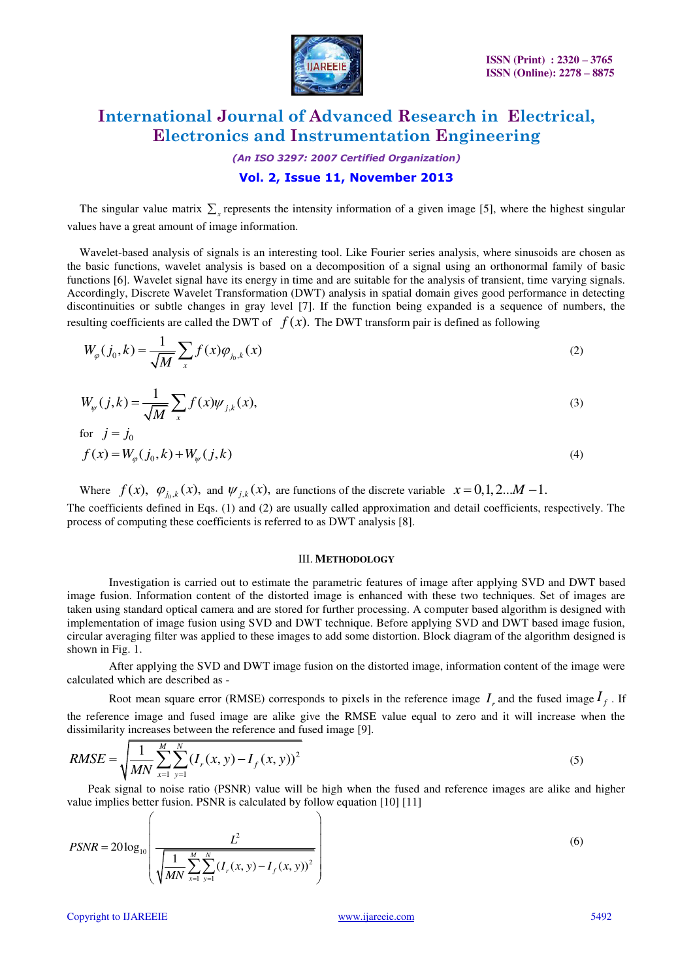

*(An ISO 3297: 2007 Certified Organization)* 

### **Vol. 2, Issue 11, November 2013**

The singular value matrix  $\sum_{x}$  represents the intensity information of a given image [5], where the highest singular values have a great amount of image information.

Wavelet-based analysis of signals is an interesting tool. Like Fourier series analysis, where sinusoids are chosen as the basic functions, wavelet analysis is based on a decomposition of a signal using an orthonormal family of basic functions [6]. Wavelet signal have its energy in time and are suitable for the analysis of transient, time varying signals. Accordingly, Discrete Wavelet Transformation (DWT) analysis in spatial domain gives good performance in detecting discontinuities or subtle changes in gray level [7]. If the function being expanded is a sequence of numbers, the resulting coefficients are called the DWT of  $f(x)$ . The DWT transform pair is defined as following

$$
W_{\varphi}(j_0, k) = \frac{1}{\sqrt{M}} \sum_{x} f(x) \varphi_{j_0, k}(x)
$$
 (2)

$$
W_{\psi}(j,k) = \frac{1}{\sqrt{M}} \sum_{x} f(x) \psi_{j,k}(x),\tag{3}
$$

for 
$$
j = j_0
$$
  
\n $f(x) = W_{\varphi}(j_0, k) + W_{\psi}(j, k)$  (4)

Where  $f(x)$ ,  $\varphi_{j_0,k}(x)$ , and  $\psi_{j,k}(x)$ , are functions of the discrete variable  $x = 0,1,2...M-1$ . The coefficients defined in Eqs. (1) and (2) are usually called approximation and detail coefficients, respectively. The process of computing these coefficients is referred to as DWT analysis [8].

#### III. **METHODOLOGY**

Investigation is carried out to estimate the parametric features of image after applying SVD and DWT based image fusion. Information content of the distorted image is enhanced with these two techniques. Set of images are taken using standard optical camera and are stored for further processing. A computer based algorithm is designed with implementation of image fusion using SVD and DWT technique. Before applying SVD and DWT based image fusion, circular averaging filter was applied to these images to add some distortion. Block diagram of the algorithm designed is shown in Fig. 1.

After applying the SVD and DWT image fusion on the distorted image, information content of the image were calculated which are described as -

Root mean square error (RMSE) corresponds to pixels in the reference image  $I_r$  and the fused image  $I_f$ . If the reference image and fused image are alike give the RMSE value equal to zero and it will increase when the dissimilarity increases between the reference and fused image [9].

$$
RMSE = \sqrt{\frac{1}{MN} \sum_{x=1}^{M} \sum_{y=1}^{N} (I_r(x, y) - I_f(x, y))^2}
$$
(5)

Peak signal to noise ratio (PSNR) value will be high when the fused and reference images are alike and higher value implies better fusion. PSNR is calculated by follow equation [10] [11]

$$
PSNR = 20 \log_{10} \left( \frac{L^2}{\sqrt{\frac{1}{MN} \sum_{x=1}^{M} \sum_{y=1}^{N} (I_r(x, y) - I_f(x, y))^2}} \right)
$$
(6)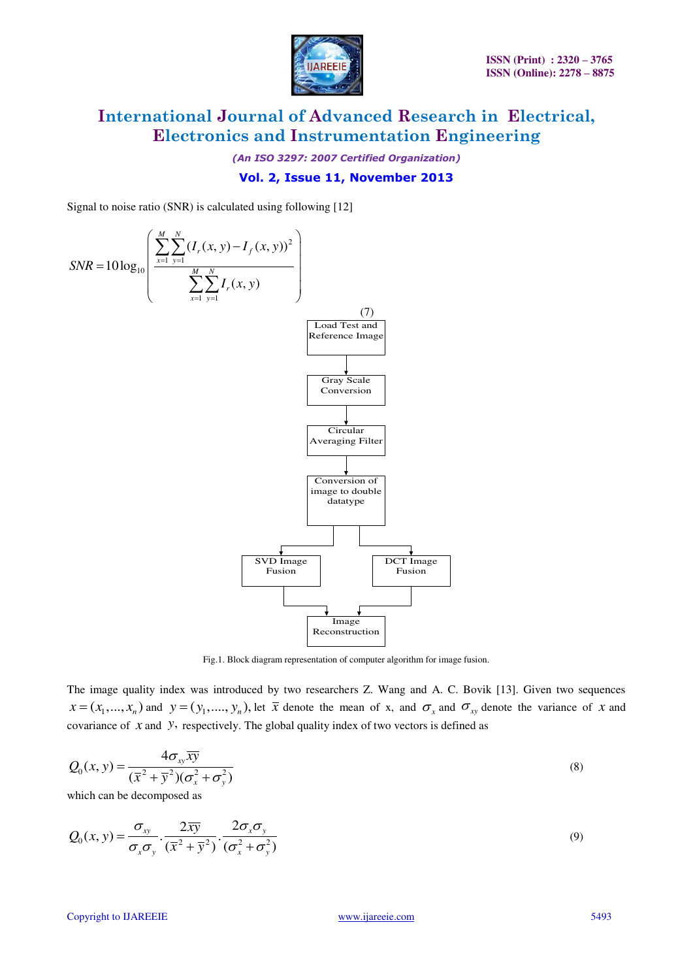

*(An ISO 3297: 2007 Certified Organization)* 

### **Vol. 2, Issue 11, November 2013**

Signal to noise ratio (SNR) is calculated using following [12]



Fig.1. Block diagram representation of computer algorithm for image fusion.

The image quality index was introduced by two researchers Z. Wang and A. C. Bovik [13]. Given two sequences  $x = (x_1, ..., x_n)$  and  $y = (y_1, ..., y_n)$ , let  $\overline{x}$  denote the mean of x, and  $\sigma_x$  and  $\sigma_{xy}$  denote the variance of *x* and covariance of *x* and *y*, respectively. The global quality index of two vectors is defined as

$$
Q_0(x, y) = \frac{4\sigma_{xy}\overline{xy}}{(\overline{x}^2 + \overline{y}^2)(\sigma_x^2 + \sigma_y^2)}
$$
\n(8)

which can be decomposed as

$$
Q_0(x, y) = \frac{\sigma_{xy}}{\sigma_x \sigma_y} \cdot \frac{2\overline{xy}}{(\overline{x}^2 + \overline{y}^2)} \cdot \frac{2\sigma_x \sigma_y}{(\sigma_x^2 + \sigma_y^2)}
$$
(9)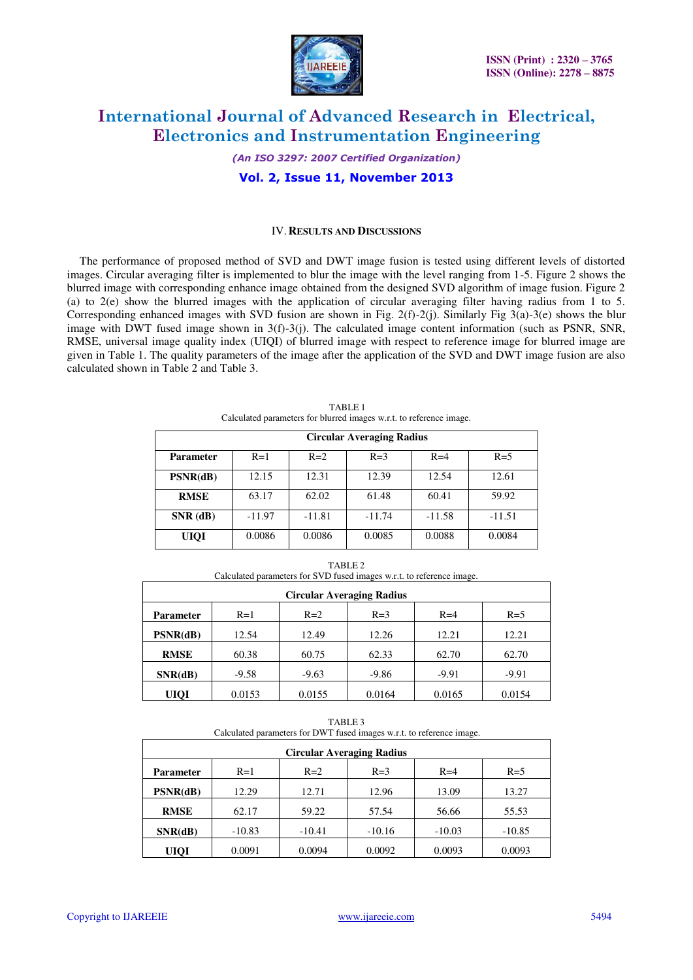

*(An ISO 3297: 2007 Certified Organization)* 

### **Vol. 2, Issue 11, November 2013**

#### IV.**RESULTS AND DISCUSSIONS**

The performance of proposed method of SVD and DWT image fusion is tested using different levels of distorted images. Circular averaging filter is implemented to blur the image with the level ranging from 1-5. Figure 2 shows the blurred image with corresponding enhance image obtained from the designed SVD algorithm of image fusion. Figure 2 (a) to 2(e) show the blurred images with the application of circular averaging filter having radius from 1 to 5. Corresponding enhanced images with SVD fusion are shown in Fig. 2(f)-2(j). Similarly Fig 3(a)-3(e) shows the blur image with DWT fused image shown in  $3(f)-3(j)$ . The calculated image content information (such as PSNR, SNR, RMSE, universal image quality index (UIQI) of blurred image with respect to reference image for blurred image are given in Table 1. The quality parameters of the image after the application of the SVD and DWT image fusion are also calculated shown in Table 2 and Table 3.

|                  | <b>Circular Averaging Radius</b> |          |          |          |          |  |
|------------------|----------------------------------|----------|----------|----------|----------|--|
| <b>Parameter</b> | $R=1$                            | $R=2$    | $R=3$    | $R=4$    | $R=5$    |  |
| PSNR(dB)         | 12.15                            | 12.31    | 12.39    | 12.54    | 12.61    |  |
| <b>RMSE</b>      | 63.17                            | 62.02    | 61.48    | 60.41    | 59.92    |  |
| $SNR$ (dB)       | $-11.97$                         | $-11.81$ | $-11.74$ | $-11.58$ | $-11.51$ |  |
| <b>UIQI</b>      | 0.0086                           | 0.0086   | 0.0085   | 0.0088   | 0.0084   |  |

TABLE 1 Calculated parameters for blurred images w.r.t. to reference image.

| Calculated parameters for SVD fused images w.r.t. to reference image. |  |  |  |  |  |  |  |
|-----------------------------------------------------------------------|--|--|--|--|--|--|--|
| <b>Circular Averaging Radius</b>                                      |  |  |  |  |  |  |  |
|                                                                       |  |  |  |  |  |  |  |

TABLE 2

| <b>Parameter</b> | $R=1$   | $R=2$   | $R=3$   | $R=4$   | $R=5$   |
|------------------|---------|---------|---------|---------|---------|
| PSNR(dB)         | 12.54   | 12.49   | 12.26   | 12.21   | 12.21   |
| <b>RMSE</b>      | 60.38   | 60.75   | 62.33   | 62.70   | 62.70   |
| SNR(dB)          | $-9.58$ | $-9.63$ | $-9.86$ | $-9.91$ | $-9.91$ |
| <b>UIQI</b>      | 0.0153  | 0.0155  | 0.0164  | 0.0165  | 0.0154  |

TABLE 3 Calculated parameters for DWT fused images w.r.t. to reference image.

| <b>Circular Averaging Radius</b> |          |          |          |          |          |
|----------------------------------|----------|----------|----------|----------|----------|
| <b>Parameter</b>                 | $R=1$    | $R=2$    | $R=3$    | $R=4$    | $R=5$    |
| PSNR(dB)                         | 12.29    | 12.71    | 12.96    | 13.09    | 13.27    |
| <b>RMSE</b>                      | 62.17    | 59.22    | 57.54    | 56.66    | 55.53    |
| SNR(dB)                          | $-10.83$ | $-10.41$ | $-10.16$ | $-10.03$ | $-10.85$ |
| <b>UIQI</b>                      | 0.0091   | 0.0094   | 0.0092   | 0.0093   | 0.0093   |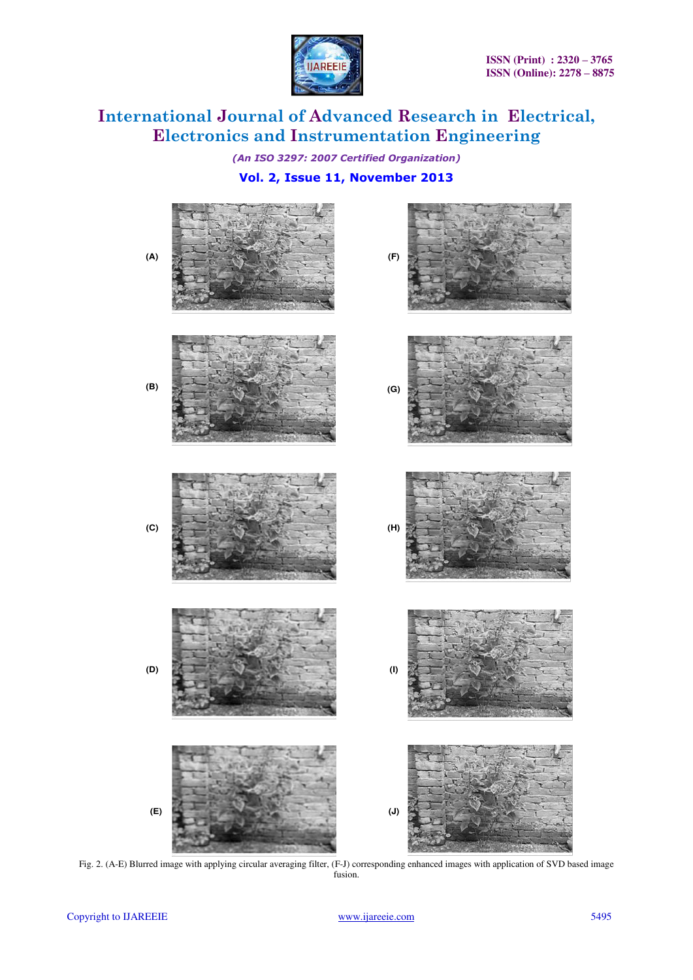

*(An ISO 3297: 2007 Certified Organization)* 

### **Vol. 2, Issue 11, November 2013**



Fig. 2. (A-E) Blurred image with applying circular averaging filter, (F-J) corresponding enhanced images with application of SVD based image fusion.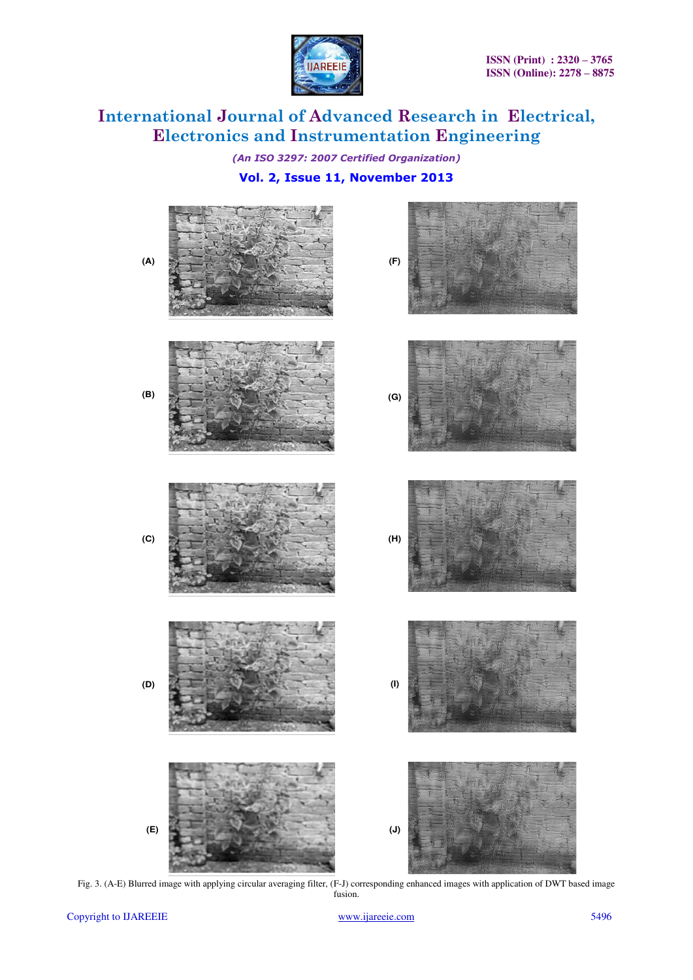

*(An ISO 3297: 2007 Certified Organization)* 

### **Vol. 2, Issue 11, November 2013**



Fig. 3. (A-E) Blurred image with applying circular averaging filter, (F-J) corresponding enhanced images with application of DWT based image fusion.